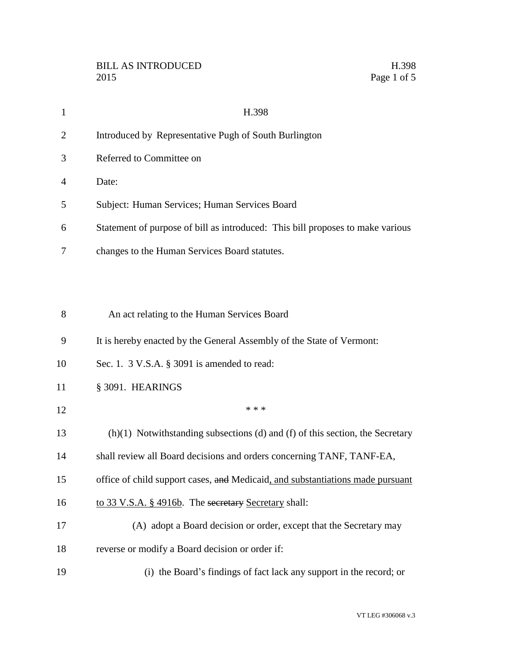| $\mathbf{1}$   | H.398                                                                           |
|----------------|---------------------------------------------------------------------------------|
| $\overline{2}$ | Introduced by Representative Pugh of South Burlington                           |
| 3              | Referred to Committee on                                                        |
| 4              | Date:                                                                           |
| 5              | Subject: Human Services; Human Services Board                                   |
| 6              | Statement of purpose of bill as introduced: This bill proposes to make various  |
| 7              | changes to the Human Services Board statutes.                                   |
|                |                                                                                 |
| 8              | An act relating to the Human Services Board                                     |
| 9              | It is hereby enacted by the General Assembly of the State of Vermont:           |
| 10             | Sec. 1. 3 V.S.A. § 3091 is amended to read:                                     |
| 11             | § 3091. HEARINGS                                                                |
| 12             | * * *                                                                           |
| 13             | $(h)(1)$ Notwithstanding subsections (d) and (f) of this section, the Secretary |
| 14             | shall review all Board decisions and orders concerning TANF, TANF-EA,           |

- 15 office of child support cases, and Medicaid, and substantiations made pursuant
- 16 to 33 V.S.A. § 4916b. The secretary Secretary shall:
- (A) adopt a Board decision or order, except that the Secretary may
- reverse or modify a Board decision or order if:
- (i) the Board's findings of fact lack any support in the record; or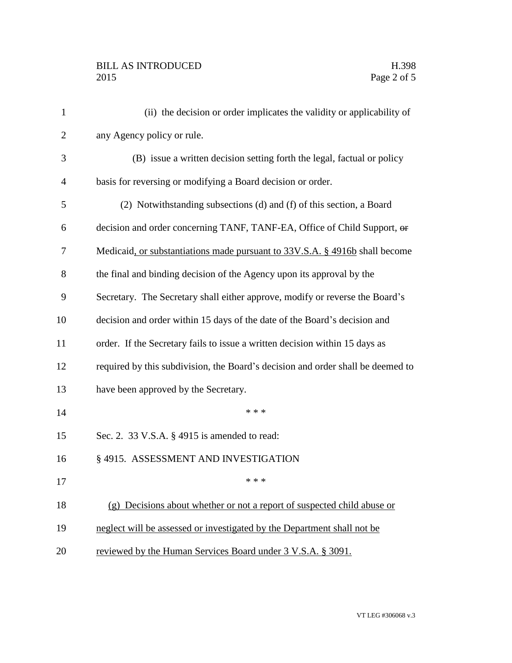## BILL AS INTRODUCED H.398 Page 2 of 5

| $\mathbf{1}$   | (ii) the decision or order implicates the validity or applicability of          |
|----------------|---------------------------------------------------------------------------------|
| $\overline{2}$ | any Agency policy or rule.                                                      |
| 3              | (B) issue a written decision setting forth the legal, factual or policy         |
| $\overline{4}$ | basis for reversing or modifying a Board decision or order.                     |
| 5              | (2) Notwithstanding subsections (d) and (f) of this section, a Board            |
| 6              | decision and order concerning TANF, TANF-EA, Office of Child Support, or        |
| 7              | Medicaid, or substantiations made pursuant to 33V.S.A. § 4916b shall become     |
| 8              | the final and binding decision of the Agency upon its approval by the           |
| 9              | Secretary. The Secretary shall either approve, modify or reverse the Board's    |
| 10             | decision and order within 15 days of the date of the Board's decision and       |
| 11             | order. If the Secretary fails to issue a written decision within 15 days as     |
| 12             | required by this subdivision, the Board's decision and order shall be deemed to |
| 13             | have been approved by the Secretary.                                            |
| 14             | * * *                                                                           |
| 15             | Sec. 2. 33 V.S.A. § 4915 is amended to read:                                    |
| 16             | § 4915. ASSESSMENT AND INVESTIGATION                                            |
| 17             | * * *                                                                           |
| 18             | (g) Decisions about whether or not a report of suspected child abuse or         |
| 19             | neglect will be assessed or investigated by the Department shall not be         |
| 20             | reviewed by the Human Services Board under 3 V.S.A. § 3091.                     |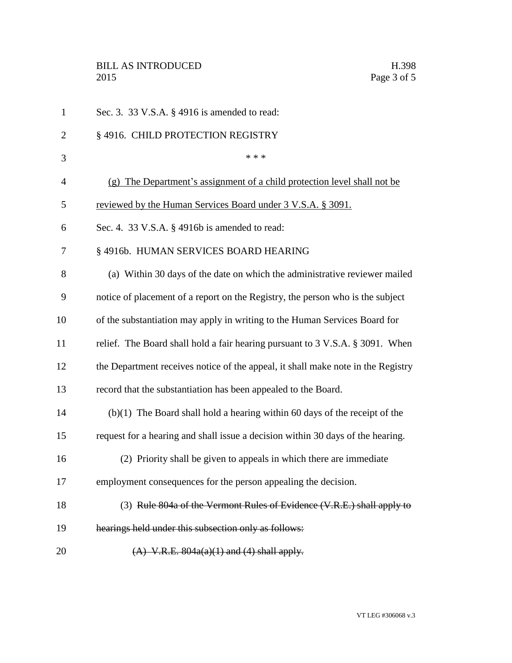| $\mathbf{1}$   | Sec. 3. 33 V.S.A. § 4916 is amended to read:                                     |
|----------------|----------------------------------------------------------------------------------|
| $\overline{2}$ | § 4916. CHILD PROTECTION REGISTRY                                                |
| 3              | * * *                                                                            |
| $\overline{4}$ | (g) The Department's assignment of a child protection level shall not be         |
| 5              | reviewed by the Human Services Board under 3 V.S.A. § 3091.                      |
| 6              | Sec. 4. 33 V.S.A. $\S$ 4916b is amended to read:                                 |
| 7              | § 4916b. HUMAN SERVICES BOARD HEARING                                            |
| 8              | (a) Within 30 days of the date on which the administrative reviewer mailed       |
| 9              | notice of placement of a report on the Registry, the person who is the subject   |
| 10             | of the substantiation may apply in writing to the Human Services Board for       |
| 11             | relief. The Board shall hold a fair hearing pursuant to 3 V.S.A. § 3091. When    |
| 12             | the Department receives notice of the appeal, it shall make note in the Registry |
| 13             | record that the substantiation has been appealed to the Board.                   |
| 14             | $(b)(1)$ The Board shall hold a hearing within 60 days of the receipt of the     |
| 15             | request for a hearing and shall issue a decision within 30 days of the hearing.  |
| 16             | (2) Priority shall be given to appeals in which there are immediate              |
| 17             | employment consequences for the person appealing the decision.                   |
| 18             | (3) Rule 804a of the Vermont Rules of Evidence (V.R.E.) shall apply to           |
| 19             | hearings held under this subsection only as follows:                             |
| 20             | $(A)$ V.R.E. $804a(a)(1)$ and $(4)$ shall apply.                                 |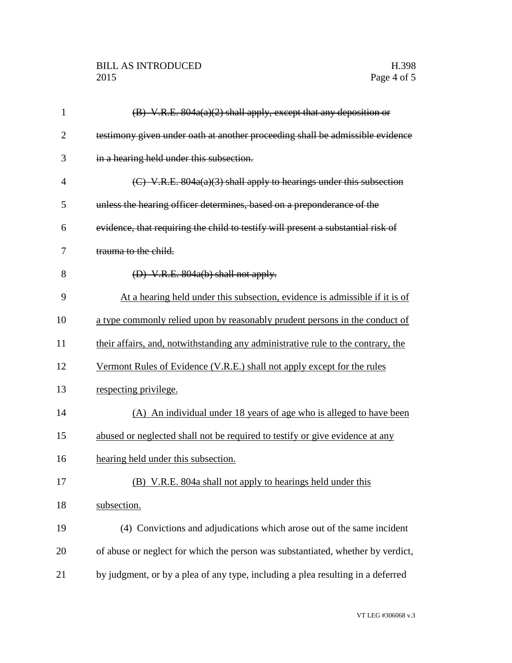| $\mathbf{1}$ | $(B)$ V.R.E. 804a(a)(2) shall apply, except that any deposition or               |
|--------------|----------------------------------------------------------------------------------|
| 2            | testimony given under oath at another proceeding shall be admissible evidence    |
| 3            | in a hearing held under this subsection.                                         |
| 4            | (C) V.R.E. $804a(a)(3)$ shall apply to hearings under this subsection            |
| 5            | unless the hearing officer determines, based on a preponderance of the           |
| 6            | evidence, that requiring the child to testify will present a substantial risk of |
| 7            | trauma to the child.                                                             |
| 8            | $(D)$ V.R.E. 804a(b) shall not apply.                                            |
| 9            | At a hearing held under this subsection, evidence is admissible if it is of      |
| 10           | a type commonly relied upon by reasonably prudent persons in the conduct of      |
| 11           | their affairs, and, notwithstanding any administrative rule to the contrary, the |
| 12           | Vermont Rules of Evidence (V.R.E.) shall not apply except for the rules          |
| 13           | respecting privilege.                                                            |
| 14           | (A) An individual under 18 years of age who is alleged to have been              |
| 15           | abused or neglected shall not be required to testify or give evidence at any     |
| 16           | hearing held under this subsection.                                              |
| 17           | (B) V.R.E. 804a shall not apply to hearings held under this                      |
| 18           | subsection.                                                                      |
| 19           | (4) Convictions and adjudications which arose out of the same incident           |
| 20           | of abuse or neglect for which the person was substantiated, whether by verdict,  |
| 21           | by judgment, or by a plea of any type, including a plea resulting in a deferred  |